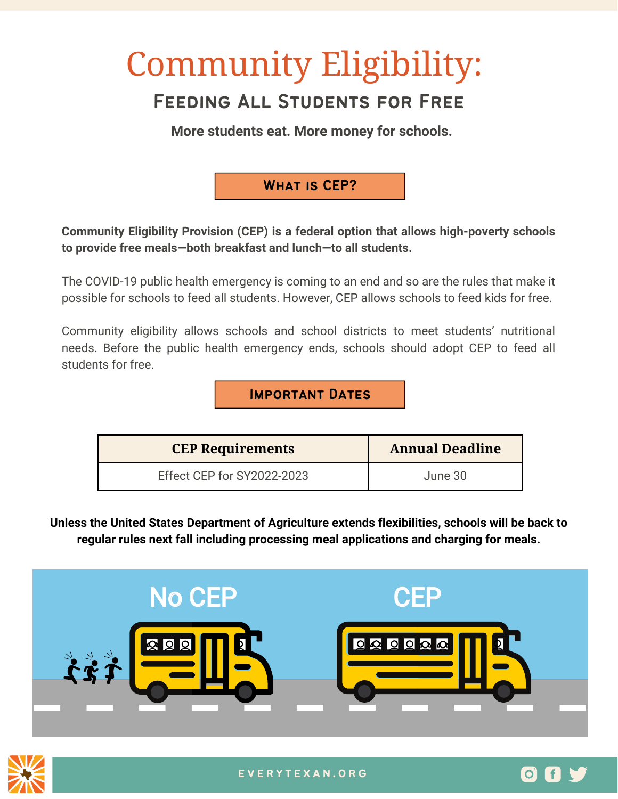# Community Eligibility:

# Feeding All Students for Free

**More students eat. More money for schools.**

# What is CEP?

**Community Eligibility Provision (CEP) is a federal option that allows high-poverty schools to provide free meals—both breakfast and lunch—to all students.**

The COVID-19 public health emergency is coming to an end and so are the rules that make it possible for schools to feed all students. However, CEP allows schools to feed kids for free.

Community eligibility allows schools and school districts to meet students' nutritional needs. Before the public health emergency ends, schools should adopt CEP to feed all students for free.

Important Dates

| <b>CEP Requirements</b>    | <b>Annual Deadline</b> |
|----------------------------|------------------------|
| Effect CEP for SY2022-2023 | June 30                |

**Unless the United States Department of Agriculture extends flexibilities, schools will be back to regular rules next fall including processing meal applications and charging for meals.**





 $[O]$  if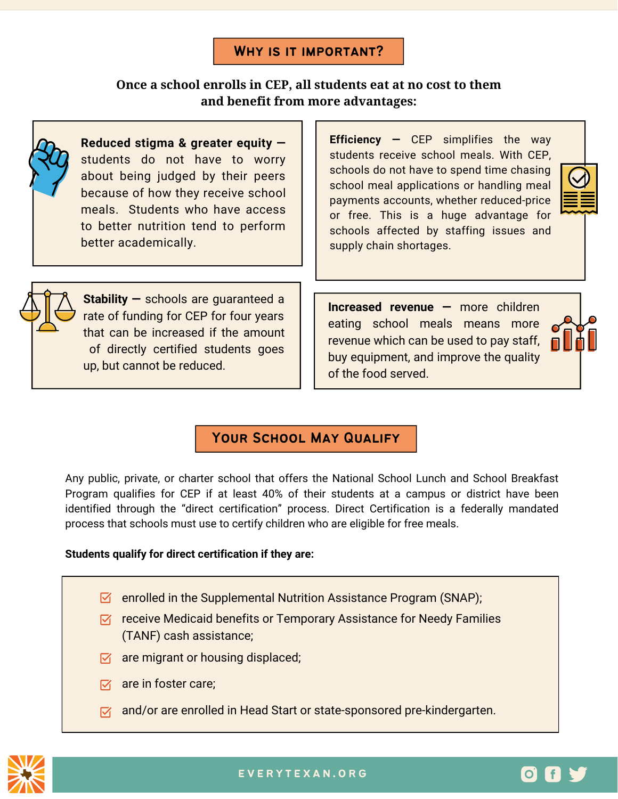#### WHY IS IT IMPORTANT?

#### **Once a school enrolls in CEP, all students eat at no cost to them and benefit from more advantages:**



**Reduced stigma & greater equity**  students do not have to worry about being judged by their peers because of how they receive school meals. Students who have access to better nutrition tend to perform better academically.

**Efficiency —** CEP simplifies the way students receive school meals. With CEP, schools do not have to spend time chasing school meal applications or handling meal payments accounts, whether reduced-price or free. This is a huge advantage for schools affected by staffing issues and supply chain shortages.



**Stability —** schools are guaranteed a rate of funding for CEP for four years that can be increased if the amount of directly certified students goes up, but cannot be reduced.

**Increased revenue —** more children eating school meals means more revenue which can be used to pay staff, buy equipment, and improve the quality of the food served.



 $O \mid f$ 

# YOUR SCHOOL MAY QUALIFY

Any public, private, or charter school that offers the National School Lunch and School Breakfast Program qualifies for CEP if at least 40% of their students at a campus or district have been identified through the "direct certification" process. Direct Certification is a federally mandated process that schools must use to certify children who are eligible for free meals.

#### **Students qualify for direct certification if they are:**

- $\boxtimes$  enrolled in the Supplemental Nutrition Assistance Program (SNAP);
- $\triangledown$  receive Medicaid benefits or Temporary Assistance for Needy Families (TANF) cash assistance;
- $\triangledown$  are migrant or housing displaced;
- $\nabla f$  are in foster care:
- $\nabla$  and/or are enrolled in Head Start or state-sponsored pre-kindergarten.



e v e r y t e x a n . o rg